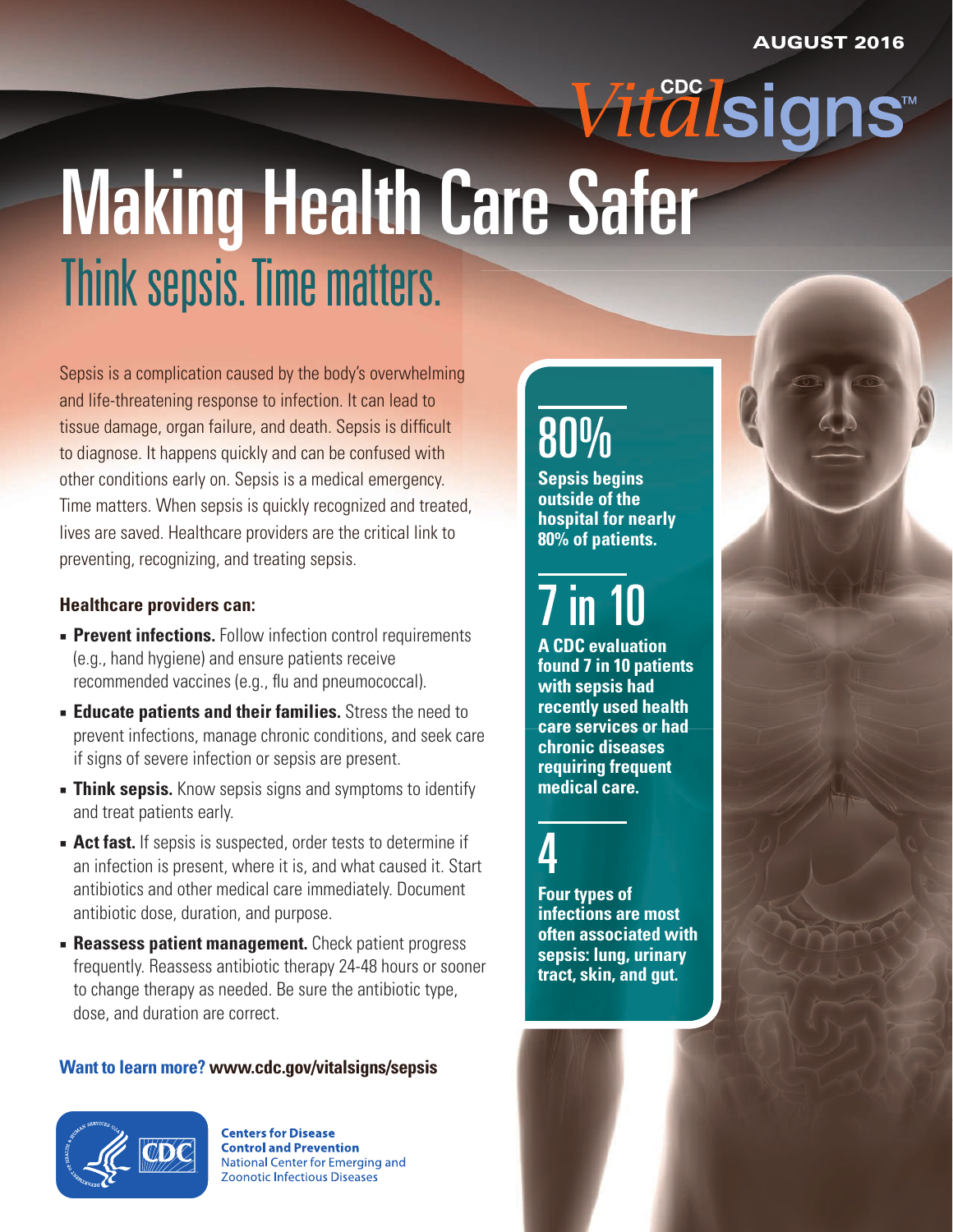# *Vitalsigns*<sup>™</sup> Making Health Care Safer Think sepsis. Time matters.

Sepsis is a complication caused by the body's overwhelming and life-threatening response to infection. It can lead to tissue damage, organ failure, and death. Sepsis is difficult to diagnose. It happens quickly and can be confused with other conditions early on. Sepsis is a medical emergency. Time matters. When sepsis is quickly recognized and treated, lives are saved. Healthcare providers are the critical link to preventing, recognizing, and treating sepsis.

#### **Healthcare providers can:**

- **Prevent infections.** Follow infection control requirements (e.g., hand hygiene) and ensure patients receive recommended vaccines (e.g., flu and pneumococcal).
- **Educate patients and their families.** Stress the need to prevent infections, manage chronic conditions, and seek care if signs of severe infection or sepsis are present.
- **Think sepsis.** Know sepsis signs and symptoms to identify and treat patients early.
- **Act fast.** If sepsis is suspected, order tests to determine if an infection is present, where it is, and what caused it. Start antibiotics and other medical care immediately. Document antibiotic dose, duration, and purpose.
- **Executes Figure 1 Reassess patient management.** Check patient progress frequently. Reassess antibiotic therapy 24-48 hours or sooner to change therapy as needed. Be sure the antibiotic type, dose, and duration are correct.

#### **Want to learn more? [www.cdc.gov/vitalsigns/sepsis](http://www.cdc.gov/vitalsigns/sepsis)**



**Centers for Disease Control and Prevention** National Center for Emerging and **Zoonotic Infectious Diseases** 

## 80%

**Sepsis begins outside of the hospital for nearly 80% of patients.** 

## 7 in 10

**A CDC evaluation found 7 in 10 patients with sepsis had recently used health care services or had chronic diseases requiring frequent medical care.** 

### 4

**Four types of infections are most often associated with sepsis: lung, urinary tract, skin, and gut.**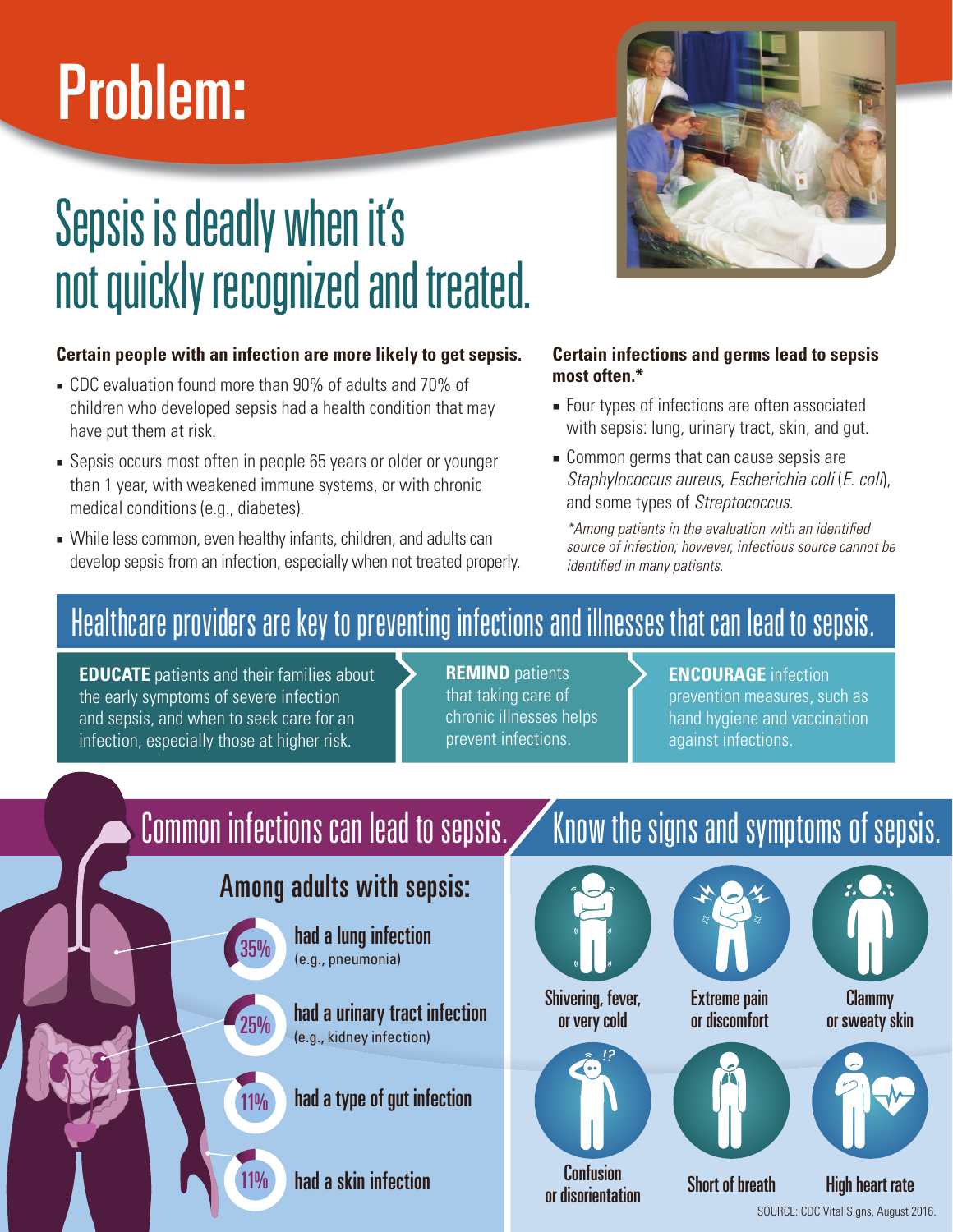# Problem:

## Sepsis is deadly when it's not quickly recognized and treated.

#### **Certain people with an infection are more likely to get sepsis.**

- CDC evaluation found more than 90% of adults and 70% of children who developed sepsis had a health condition that may have put them at risk.
- Sepsis occurs most often in people 65 years or older or younger than 1 year, with weakened immune systems, or with chronic medical conditions (e.g., diabetes).
- While less common, even healthy infants, children, and adults can develop sepsis from an infection, especially when not treated properly.



#### **Certain infections and germs lead to sepsis most often.\***

- Four types of infections are often associated with sepsis: lung, urinary tract, skin, and gut.
- Common germs that can cause sepsis are *Staphylococcus aureus*, *Escherichia coli* (*E. coli*), and some types of *Streptococcus*.

*\*Among patients in the evaluation with an identied source of infection; however, infectious source cannot be identied in many patients.*

### Healthcare providers are key to preventing infections and illnesses that can lead to sepsis.

**EDUCATE** patients and their families about the early symptoms of severe infection and sepsis, and when to seek care for an infection, especially those at higher risk.

35%

25%

11%

11%

**REMIND** patients that taking care of chronic illnesses helps prevent infections.

#### **ENCOURAGE** infection

prevention measures, such as hand hygiene and vaccination against infections.

### Among adults with sepsis:

had a lung infection (e.g., pneumonia)

had a urinary tract infection (e.g., kidney infection)

had a type of gut infection

had a skin infection

### Common infections can lead to sepsis. Know the signs and symptoms of sepsis.



or very cold







Clammy or sweaty skin



Confusion or disorientation

Short of breath High heart rate

SOURCE: CDC Vital Signs, August 2016.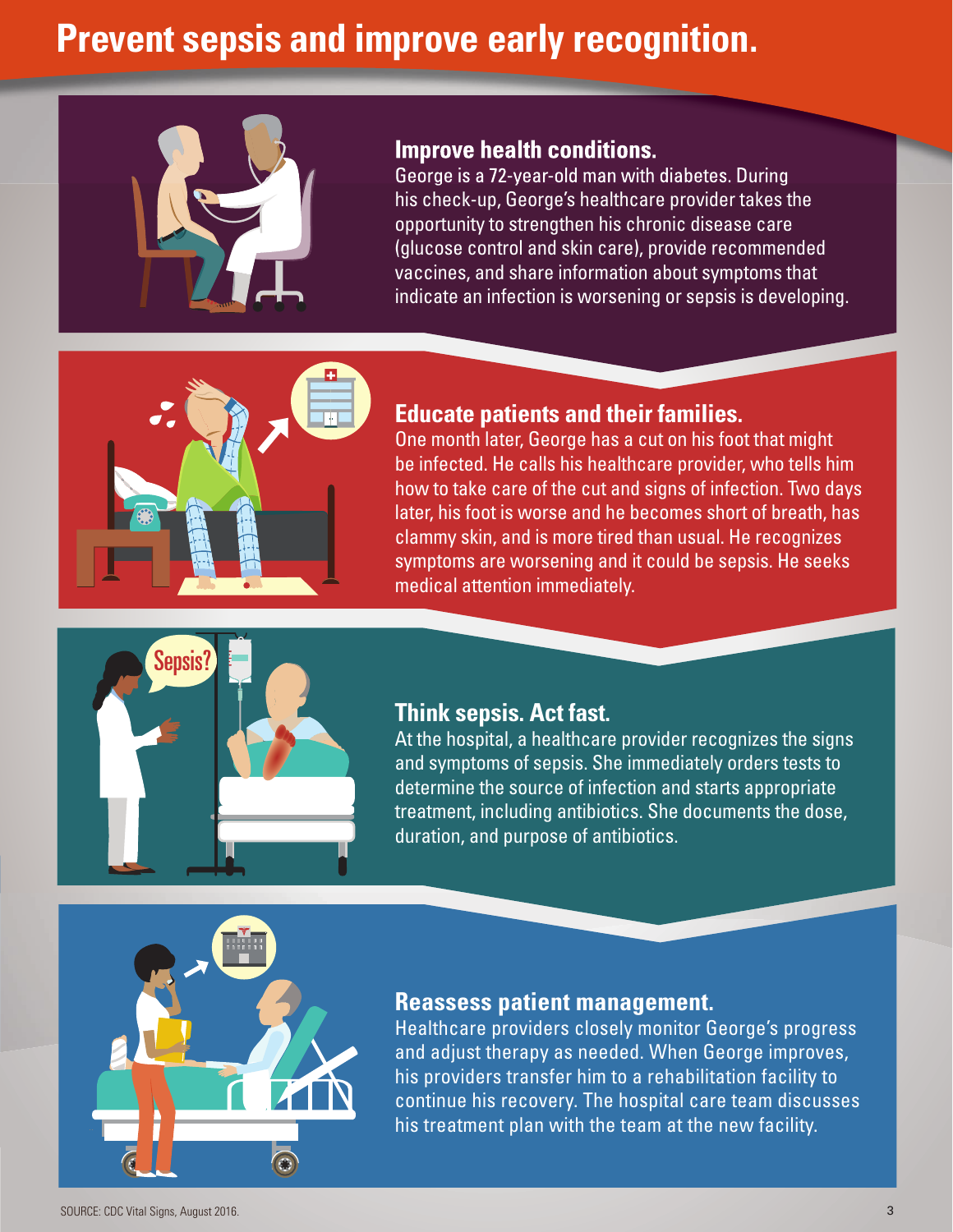### **Prevent sepsis and improve early recognition.**



#### **Improve health conditions.**

George is a 72-year-old man with diabetes. During his check-up, George's healthcare provider takes the opportunity to strengthen his chronic disease care (glucose control and skin care), provide recommended vaccines, and share information about symptoms that indicate an infection is worsening or sepsis is developing.



#### **Educate patients and their families.**

One month later, George has a cut on his foot that might be infected. He calls his healthcare provider, who tells him how to take care of the cut and signs of infection. Two days later, his foot is worse and he becomes short of breath, has clammy skin, and is more tired than usual. He recognizes symptoms are worsening and it could be sepsis. He seeks medical attention immediately.



#### **Think sepsis. Act fast.**

At the hospital, a healthcare provider recognizes the signs and symptoms of sepsis. She immediately orders tests to determine the source of infection and starts appropriate treatment, including antibiotics. She documents the dose, duration, and purpose of antibiotics.

#### **Reassess patient management.**

Healthcare providers closely monitor George's progress and adjust therapy as needed. When George improves, his providers transfer him to a rehabilitation facility to continue his recovery. The hospital care team discusses his treatment plan with the team at the new facility.